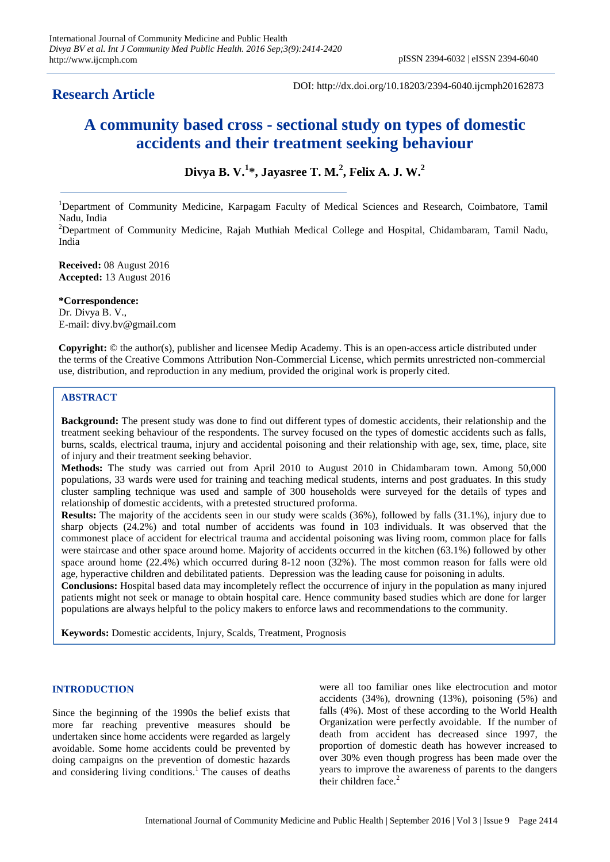# **Research Article**

DOI: http://dx.doi.org/10.18203/2394-6040.ijcmph20162873

# **A community based cross - sectional study on types of domestic accidents and their treatment seeking behaviour**

**Divya B. V.<sup>1</sup> \*, Jayasree T. M.<sup>2</sup> , Felix A. J. W.<sup>2</sup>**

<sup>1</sup>Department of Community Medicine, Karpagam Faculty of Medical Sciences and Research, Coimbatore, Tamil Nadu, India

<sup>2</sup>Department of Community Medicine, Rajah Muthiah Medical College and Hospital, Chidambaram, Tamil Nadu, India

**Received:** 08 August 2016 **Accepted:** 13 August 2016

**\*Correspondence:** Dr. Divya B. V., E-mail: divy.bv@gmail.com

**Copyright:** © the author(s), publisher and licensee Medip Academy. This is an open-access article distributed under the terms of the Creative Commons Attribution Non-Commercial License, which permits unrestricted non-commercial use, distribution, and reproduction in any medium, provided the original work is properly cited.

# **ABSTRACT**

**Background:** The present study was done to find out different types of domestic accidents, their relationship and the treatment seeking behaviour of the respondents. The survey focused on the types of domestic accidents such as falls, burns, scalds, electrical trauma, injury and accidental poisoning and their relationship with age, sex, time, place, site of injury and their treatment seeking behavior.

**Methods:** The study was carried out from April 2010 to August 2010 in Chidambaram town. Among 50,000 populations, 33 wards were used for training and teaching medical students, interns and post graduates. In this study cluster sampling technique was used and sample of 300 households were surveyed for the details of types and relationship of domestic accidents, with a pretested structured proforma.

**Results:** The majority of the accidents seen in our study were scalds (36%), followed by falls (31.1%), injury due to sharp objects (24.2%) and total number of accidents was found in 103 individuals. It was observed that the commonest place of accident for electrical trauma and accidental poisoning was living room, common place for falls were staircase and other space around home. Majority of accidents occurred in the kitchen (63.1%) followed by other space around home (22.4%) which occurred during 8-12 noon (32%). The most common reason for falls were old age, hyperactive children and debilitated patients. Depression was the leading cause for poisoning in adults.

**Conclusions:** Hospital based data may incompletely reflect the occurrence of injury in the population as many injured patients might not seek or manage to obtain hospital care. Hence community based studies which are done for larger populations are always helpful to the policy makers to enforce laws and recommendations to the community.

**Keywords:** Domestic accidents, Injury, Scalds, Treatment, Prognosis

# **INTRODUCTION**

Since the beginning of the 1990s the belief exists that more far reaching preventive measures should be undertaken since home accidents were regarded as largely avoidable. Some home accidents could be prevented by doing campaigns on the prevention of domestic hazards and considering living conditions.<sup>1</sup> The causes of deaths were all too familiar ones like electrocution and motor accidents (34%), drowning (13%), poisoning (5%) and falls (4%). Most of these according to the World Health Organization were perfectly avoidable. If the number of death from accident has decreased since 1997, the proportion of domestic death has however increased to over 30% even though progress has been made over the years to improve the awareness of parents to the dangers their children face.<sup>2</sup>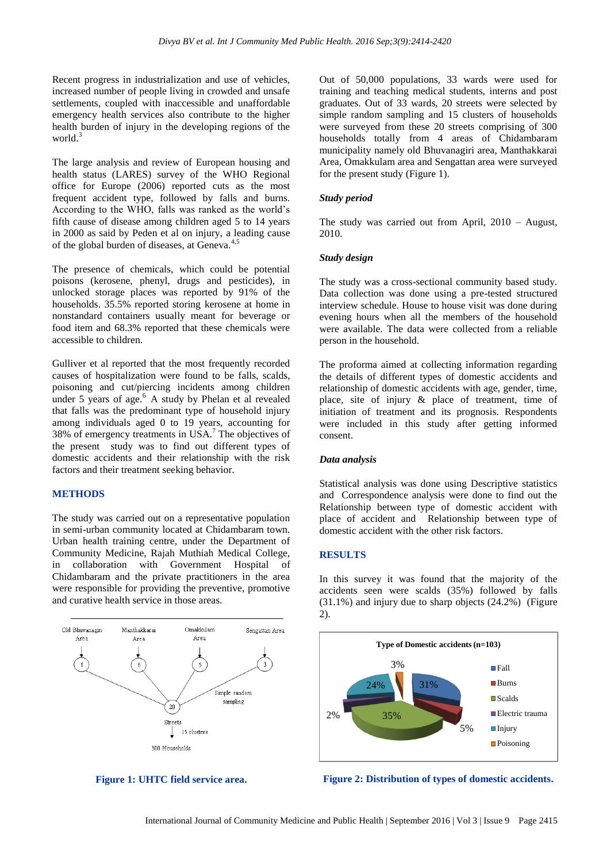Recent progress in industrialization and use of vehicles, increased number of people living in crowded and unsafe settlements, coupled with inaccessible and unaffordable emergency health services also contribute to the higher health burden of injury in the developing regions of the world. $3$ 

The large analysis and review of European housing and health status (LARES) survey of the WHO Regional office for Europe (2006) reported cuts as the most frequent accident type, followed by falls and burns. According to the WHO, falls was ranked as the world's fifth cause of disease among children aged 5 to 14 years in 2000 as said by Peden et al on injury, a leading cause of the global burden of diseases, at Geneva.<sup>4,5</sup>

The presence of chemicals, which could be potential poisons (kerosene, phenyl, drugs and pesticides), in unlocked storage places was reported by 91% of the households. 35.5% reported storing kerosene at home in nonstandard containers usually meant for beverage or food item and 68.3% reported that these chemicals were accessible to children.

Gulliver et al reported that the most frequently recorded causes of hospitalization were found to be falls, scalds, poisoning and cut/piercing incidents among children under  $5$  years of age.<sup>6</sup> A study by Phelan et al revealed that falls was the predominant type of household injury among individuals aged 0 to 19 years, accounting for  $38\%$  of emergency treatments in USA.<sup>7</sup> The objectives of the present study was to find out different types of domestic accidents and their relationship with the risk factors and their treatment seeking behavior.

#### **METHODS**

The study was carried out on a representative population in semi-urban community located at Chidambaram town. Urban health training centre, under the Department of Community Medicine, Rajah Muthiah Medical College, in collaboration with Government Hospital of Chidambaram and the private practitioners in the area were responsible for providing the preventive, promotive and curative health service in those areas.





Out of 50,000 populations, 33 wards were used for training and teaching medical students, interns and post graduates. Out of 33 wards, 20 streets were selected by simple random sampling and 15 clusters of households were surveyed from these 20 streets comprising of 300 households totally from 4 areas of Chidambaram municipality namely old Bhuvanagiri area, Manthakkarai Area, Omakkulam area and Sengattan area were surveyed for the present study (Figure 1).

#### *Study period*

The study was carried out from April, 2010 – August, 2010.

#### *Study design*

The study was a cross-sectional community based study. Data collection was done using a pre-tested structured interview schedule. House to house visit was done during evening hours when all the members of the household were available. The data were collected from a reliable person in the household.

The proforma aimed at collecting information regarding the details of different types of domestic accidents and relationship of domestic accidents with age, gender, time, place, site of injury & place of treatment, time of initiation of treatment and its prognosis. Respondents were included in this study after getting informed consent.

#### *Data analysis*

Statistical analysis was done using Descriptive statistics and Correspondence analysis were done to find out the Relationship between type of domestic accident with place of accident and Relationship between type of domestic accident with the other risk factors.

#### **RESULTS**

In this survey it was found that the majority of the accidents seen were scalds (35%) followed by falls (31.1%) and injury due to sharp objects (24.2%) (Figure 2).



**Figure 2: Distribution of types of domestic accidents.**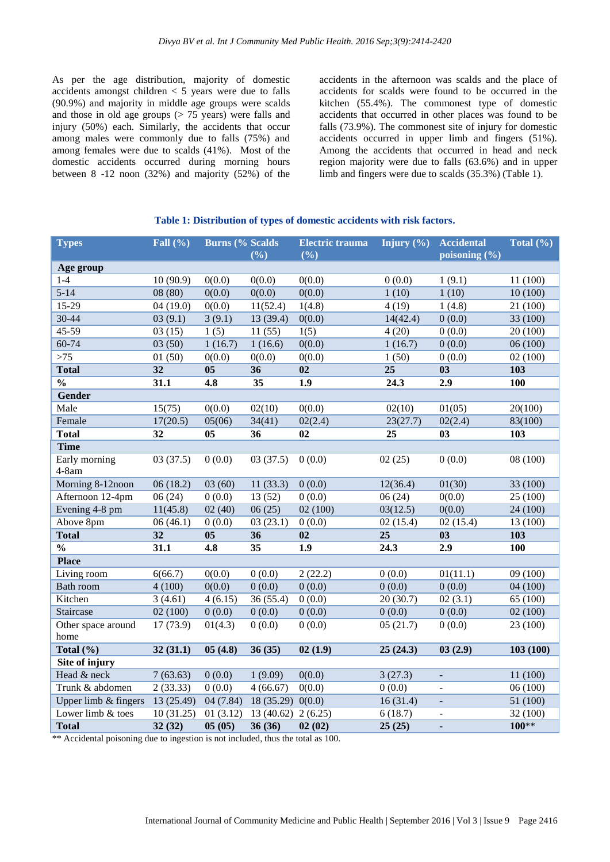As per the age distribution, majority of domestic accidents amongst children < 5 years were due to falls (90.9%) and majority in middle age groups were scalds and those in old age groups  $(> 75$  years) were falls and injury (50%) each. Similarly, the accidents that occur among males were commonly due to falls (75%) and among females were due to scalds (41%). Most of the domestic accidents occurred during morning hours between 8 -12 noon (32%) and majority (52%) of the accidents in the afternoon was scalds and the place of accidents for scalds were found to be occurred in the kitchen (55.4%). The commonest type of domestic accidents that occurred in other places was found to be falls (73.9%). The commonest site of injury for domestic accidents occurred in upper limb and fingers (51%). Among the accidents that occurred in head and neck region majority were due to falls (63.6%) and in upper limb and fingers were due to scalds (35.3%) (Table 1).

#### **Table 1: Distribution of types of domestic accidents with risk factors.**

| <b>Types</b>             | Fall $(\% )$    | <b>Burns (% Scalds)</b> |                 | <b>Electric trauma</b> | Injury $(\% )$    | <b>Accidental</b>          | Total $(\% )$ |
|--------------------------|-----------------|-------------------------|-----------------|------------------------|-------------------|----------------------------|---------------|
|                          |                 |                         | (%)             | (%)                    |                   | poisoning $(\% )$          |               |
| Age group                |                 |                         |                 |                        |                   |                            |               |
| $1-4$                    | 10(90.9)        | 0(0.0)                  | 0(0.0)          | 0(0.0)                 | 0(0.0)            | 1(9.1)                     | 11 (100)      |
| $5 - 14$                 | 08(80)          | 0(0.0)                  | 0(0.0)          | 0(0.0)                 | 1(10)             | 1(10)                      | 10(100)       |
| $15-29$                  | 04(19.0)        | 0(0.0)                  | 11(52.4)        | 1(4.8)                 | 4(19)             | 1(4.8)                     | 21 (100)      |
| 30-44                    | 03(9.1)         | 3(9.1)                  | 13(39.4)        | 0(0.0)                 | 14(42.4)          | 0(0.0)                     | 33 (100)      |
| $45 - 59$                | 03(15)          | 1(5)                    | 11(55)          | 1(5)                   | 4(20)             | 0(0.0)                     | 20(100)       |
| 60-74                    | 03(50)          | 1(16.7)                 | 1(16.6)         | 0(0.0)                 | 1(16.7)           | 0(0.0)                     | 06(100)       |
| $>75$                    | 01(50)          | 0(0.0)                  | 0(0.0)          | 0(0.0)                 | 1(50)             | 0(0.0)                     | 02(100)       |
| <b>Total</b>             | 32              | 0 <sub>5</sub>          | 36              | 02                     | 25                | 03                         | 103           |
| $\overline{\frac{0}{0}}$ | 31.1            | 4.8                     | 35              | 1.9                    | 24.3              | 2.9                        | <b>100</b>    |
| Gender                   |                 |                         |                 |                        |                   |                            |               |
| Male                     | 15(75)          | 0(0.0)                  | 02(10)          | 0(0.0)                 | 02(10)            | 01(05)                     | 20(100)       |
| Female                   | 17(20.5)        | 05(06)                  | 34(41)          | 02(2.4)                | 23(27.7)          | 02(2.4)                    | 83(100)       |
| <b>Total</b>             | 32              | 05                      | 36              | 02                     | 25                | 03                         | 103           |
| <b>Time</b>              |                 |                         |                 |                        |                   |                            |               |
| Early morning            | 03(37.5)        | 0(0.0)                  | 03(37.5)        | 0(0.0)                 | 02(25)            | 0(0.0)                     | 08 (100)      |
| $4-8am$                  |                 |                         |                 |                        |                   |                            |               |
| Morning 8-12noon         | 06(18.2)        | 03(60)                  | 11(33.3)        | 0(0.0)                 | 12(36.4)          | 01(30)                     | 33 (100)      |
| Afternoon 12-4pm         | 06(24)          | 0(0.0)                  | 13(52)          | 0(0.0)                 | 06(24)            | 0(0.0)                     | 25 (100)      |
| Evening 4-8 pm           | 11(45.8)        | 02(40)                  | 06(25)          | 02(100)                | 03(12.5)          | 0(0.0)                     | 24(100)       |
| Above 8pm                | 06(46.1)        | 0(0.0)                  | 03(23.1)        | 0(0.0)                 | 02(15.4)          | 02(15.4)                   | 13 (100)      |
| <b>Total</b>             | $\overline{32}$ | $\overline{05}$         | $\overline{36}$ | 02                     | $\overline{25}$   | $\overline{\overline{03}}$ | 103           |
| $\frac{0}{0}$            | 31.1            | 4.8                     | 35              | $\overline{1.9}$       | $\overline{24.3}$ | $\overline{2.9}$           | 100           |
| <b>Place</b>             |                 |                         |                 |                        |                   |                            |               |
| Living room              | 6(66.7)         | 0(0.0)                  | 0(0.0)          | 2(22.2)                | 0(0.0)            | 01(11.1)                   | 09(100)       |
| Bath room                | 4(100)          | 0(0.0)                  | 0(0.0)          | 0(0.0)                 | 0(0.0)            | 0(0.0)                     | 04(100)       |
| Kitchen                  | 3(4.61)         | 4(6.15)                 | 36 (55.4)       | 0(0.0)                 | 20(30.7)          | 02(3.1)                    | 65 (100)      |
| Staircase                | 02(100)         | 0(0.0)                  | 0(0.0)          | 0(0.0)                 | 0(0.0)            | 0(0.0)                     | 02(100)       |
| Other space around       | 17(73.9)        | 01(4.3)                 | 0(0.0)          | 0(0.0)                 | 05(21.7)          | 0(0.0)                     | 23 (100)      |
| home                     |                 |                         |                 |                        |                   |                            |               |
| Total $(\% )$            | 32(31.1)        | 05(4.8)                 | 36(35)          | 02(1.9)                | 25(24.3)          | 03(2.9)                    | 103(100)      |
| Site of injury           |                 |                         |                 |                        |                   |                            |               |
| Head & neck              | 7(63.63)        | 0(0.0)                  | 1(9.09)         | 0(0.0)                 | 3(27.3)           |                            | 11(100)       |
| Trunk & abdomen          | 2(33.33)        | 0(0.0)                  | 4(66.67)        | 0(0.0)                 | 0(0.0)            | $\overline{a}$             | 06(100)       |
| Upper limb & fingers     | 13 (25.49)      | 04(7.84)                | 18(35.29)0(0.0) |                        | 16(31.4)          | $\blacksquare$             | 51 (100)      |
| Lower limb & toes        | 10(31.25)       | 01(3.12)                | 13(40.62)       | 2(6.25)                | 6(18.7)           | $\overline{a}$             | 32 (100)      |
| <b>Total</b>             | 32(32)          | 05(05)                  | 36(36)          | 02(02)                 | 25(25)            | $\equiv$                   | 100**         |

\*\* Accidental poisoning due to ingestion is not included, thus the total as 100.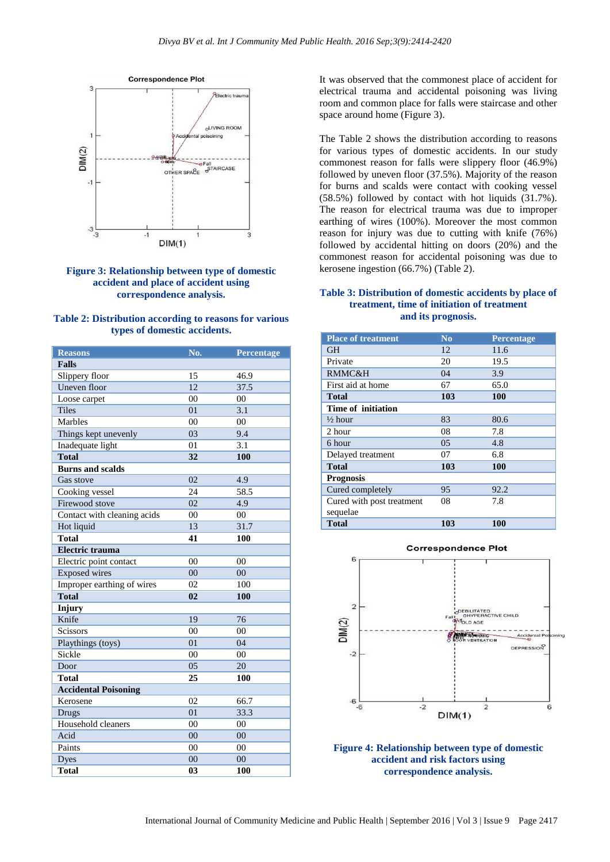

# **Figure 3: Relationship between type of domestic accident and place of accident using correspondence analysis.**

|                              | Table 2: Distribution according to reasons for various |
|------------------------------|--------------------------------------------------------|
| types of domestic accidents. |                                                        |

| <b>Reasons</b>              | No.             | <b>Percentage</b> |
|-----------------------------|-----------------|-------------------|
| <b>Falls</b>                |                 |                   |
| Slippery floor              | 15              | 46.9              |
| Uneven floor                | 12              | 37.5              |
| Loose carpet                | 00              | 00                |
| <b>Tiles</b>                | 01              | 3.1               |
| Marbles                     | 0 <sup>0</sup>  | 0 <sub>0</sub>    |
| Things kept unevenly        | 03              | 9.4               |
| Inadequate light            | 01              | 3.1               |
| <b>Total</b>                | 32              | 100               |
| <b>Burns and scalds</b>     |                 |                   |
| Gas stove                   | $\overline{02}$ | 4.9               |
| Cooking vessel              | 24              | 58.5              |
| Firewood stove              | 02              | 4.9               |
| Contact with cleaning acids | 00              | 00                |
| Hot liquid                  | 13              | 31.7              |
| <b>Total</b>                | 41              | 100               |
| <b>Electric trauma</b>      |                 |                   |
| Electric point contact      | 00              | 0 <sub>0</sub>    |
| <b>Exposed</b> wires        | 0 <sup>0</sup>  | 00                |
| Improper earthing of wires  | 02              | 100               |
| <b>Total</b>                | 0 <sub>2</sub>  | 100               |
| Injury                      |                 |                   |
| Knife                       | 19              | 76                |
| <b>Scissors</b>             | 0 <sup>0</sup>  | 0 <sub>0</sub>    |
| Playthings (toys)           | 01              | 04                |
| Sickle                      | 00              | 00                |
| Door                        | 05              | 20                |
| <b>Total</b>                | 25              | 100               |
| <b>Accidental Poisoning</b> |                 |                   |
| Kerosene                    | 02              | 66.7              |
| Drugs                       | 0 <sub>1</sub>  | 33.3              |
| Household cleaners          | 0 <sup>0</sup>  | 00                |
| Acid                        | 0 <sup>0</sup>  | 00                |
| Paints                      | 0 <sup>0</sup>  | 0 <sub>0</sub>    |
| Dyes                        | 0 <sup>0</sup>  | 00                |
| <b>Total</b>                | 0 <sub>3</sub>  | 100               |

It was observed that the commonest place of accident for electrical trauma and accidental poisoning was living room and common place for falls were staircase and other space around home (Figure 3).

The Table 2 shows the distribution according to reasons for various types of domestic accidents. In our study commonest reason for falls were slippery floor (46.9%) followed by uneven floor (37.5%). Majority of the reason for burns and scalds were contact with cooking vessel (58.5%) followed by contact with hot liquids (31.7%). The reason for electrical trauma was due to improper earthing of wires (100%). Moreover the most common reason for injury was due to cutting with knife (76%) followed by accidental hitting on doors (20%) and the commonest reason for accidental poisoning was due to kerosene ingestion (66.7%) (Table 2).

#### **Table 3: Distribution of domestic accidents by place of treatment, time of initiation of treatment and its prognosis.**

| <b>Place of treatment</b> | $\bf No$ | <b>Percentage</b> |  |  |  |
|---------------------------|----------|-------------------|--|--|--|
| <b>GH</b>                 | 12       | 11.6              |  |  |  |
| Private                   | 20       | 19.5              |  |  |  |
| <b>RMMC&amp;H</b>         | 04       | 3.9               |  |  |  |
| First aid at home         | 67       | 65.0              |  |  |  |
| Total                     | 103      | <b>100</b>        |  |  |  |
| Time of initiation        |          |                   |  |  |  |
| $\frac{1}{2}$ hour        | 83       | 80.6              |  |  |  |
| 2 hour                    | 08       | 7.8               |  |  |  |
| 6 hour                    | 05       | 4.8               |  |  |  |
| Delayed treatment         | 07       | 6.8               |  |  |  |
| <b>Total</b>              | 103      | <b>100</b>        |  |  |  |
| <b>Prognosis</b>          |          |                   |  |  |  |
| Cured completely          | 95       | 92.2              |  |  |  |
| Cured with post treatment | 08       | 7.8               |  |  |  |
| sequelae                  |          |                   |  |  |  |
| <b>Total</b>              | 103      | 100               |  |  |  |



**Figure 4: Relationship between type of domestic accident and risk factors using correspondence analysis.**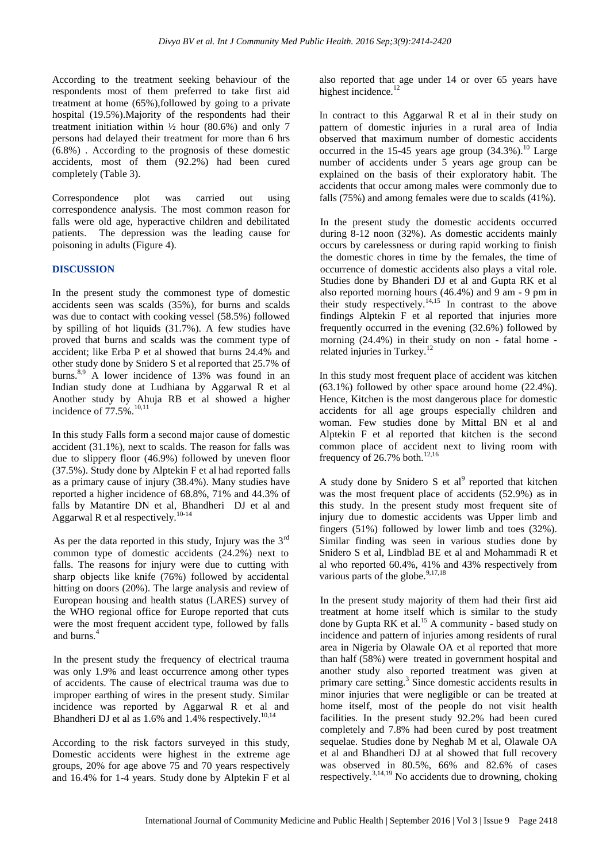According to the treatment seeking behaviour of the respondents most of them preferred to take first aid treatment at home (65%),followed by going to a private hospital (19.5%).Majority of the respondents had their treatment initiation within  $\frac{1}{2}$  hour (80.6%) and only 7 persons had delayed their treatment for more than 6 hrs (6.8%) . According to the prognosis of these domestic accidents, most of them (92.2%) had been cured completely (Table 3).

Correspondence plot was carried out using correspondence analysis. The most common reason for falls were old age, hyperactive children and debilitated patients. The depression was the leading cause for poisoning in adults (Figure 4).

# **DISCUSSION**

In the present study the commonest type of domestic accidents seen was scalds (35%), for burns and scalds was due to contact with cooking vessel (58.5%) followed by spilling of hot liquids (31.7%). A few studies have proved that burns and scalds was the comment type of accident; like Erba P et al showed that burns 24.4% and other study done by Snidero S et al reported that 25.7% of burns.<sup>8,9</sup> A lower incidence of 13% was found in an Indian study done at Ludhiana by Aggarwal R et al Another study by Ahuja RB et al showed a higher incidence of  $77.5\%$ .<sup>10,11</sup>

In this study Falls form a second major cause of domestic accident (31.1%), next to scalds. The reason for falls was due to slippery floor (46.9%) followed by uneven floor (37.5%). Study done by Alptekin F et al had reported falls as a primary cause of injury (38.4%). Many studies have reported a higher incidence of 68.8%, 71% and 44.3% of falls by Matantire DN et al, Bhandheri DJ et al and Aggarwal R et al respectively.<sup>10-14</sup>

As per the data reported in this study, Injury was the  $3<sup>rd</sup>$ common type of domestic accidents (24.2%) next to falls. The reasons for injury were due to cutting with sharp objects like knife (76%) followed by accidental hitting on doors (20%). The large analysis and review of European housing and health status (LARES) survey of the WHO regional office for Europe reported that cuts were the most frequent accident type, followed by falls and burns.<sup>4</sup>

In the present study the frequency of electrical trauma was only 1.9% and least occurrence among other types of accidents. The cause of electrical trauma was due to improper earthing of wires in the present study. Similar incidence was reported by Aggarwal R et al and Bhandheri DJ et al as  $1.6\%$  and  $1.4\%$  respectively.<sup>10,14</sup>

According to the risk factors surveyed in this study, Domestic accidents were highest in the extreme age groups, 20% for age above 75 and 70 years respectively and 16.4% for 1-4 years. Study done by Alptekin F et al also reported that age under 14 or over 65 years have highest incidence.<sup>12</sup>

In contract to this Aggarwal R et al in their study on pattern of domestic injuries in a rural area of India observed that maximum number of domestic accidents occurred in the 15-45 years age group  $(34.3\%)$ .<sup>10</sup> Large number of accidents under 5 years age group can be explained on the basis of their exploratory habit. The accidents that occur among males were commonly due to falls (75%) and among females were due to scalds (41%).

In the present study the domestic accidents occurred during 8-12 noon (32%). As domestic accidents mainly occurs by carelessness or during rapid working to finish the domestic chores in time by the females, the time of occurrence of domestic accidents also plays a vital role. Studies done by Bhanderi DJ et al and Gupta RK et al also reported morning hours (46.4%) and 9 am - 9 pm in their study respectively.<sup>14,15</sup> In contrast to the above findings Alptekin F et al reported that injuries more frequently occurred in the evening (32.6%) followed by morning (24.4%) in their study on non - fatal home related injuries in Turkey. $^{12}$ 

In this study most frequent place of accident was kitchen (63.1%) followed by other space around home (22.4%). Hence, Kitchen is the most dangerous place for domestic accidents for all age groups especially children and woman. Few studies done by Mittal BN et al and Alptekin F et al reported that kitchen is the second common place of accident next to living room with frequency of  $26.7\%$  both.<sup>12,16</sup>

A study done by Snidero S et al<sup>9</sup> reported that kitchen was the most frequent place of accidents (52.9%) as in this study. In the present study most frequent site of injury due to domestic accidents was Upper limb and fingers (51%) followed by lower limb and toes (32%). Similar finding was seen in various studies done by Snidero S et al, Lindblad BE et al and Mohammadi R et al who reported 60.4%, 41% and 43% respectively from various parts of the globe.<sup>9,17,18</sup>

In the present study majority of them had their first aid treatment at home itself which is similar to the study done by Gupta RK et al.<sup>15</sup> A community - based study on incidence and pattern of injuries among residents of rural area in Nigeria by Olawale OA et al reported that more than half (58%) were treated in government hospital and another study also reported treatment was given at primary care setting.<sup>3</sup> Since domestic accidents results in minor injuries that were negligible or can be treated at home itself, most of the people do not visit health facilities. In the present study 92.2% had been cured completely and 7.8% had been cured by post treatment sequelae. Studies done by Neghab M et al, Olawale OA et al and Bhandheri DJ at al showed that full recovery was observed in 80.5%, 66% and 82.6% of cases respectively.<sup>3,14,19</sup> No accidents due to drowning, choking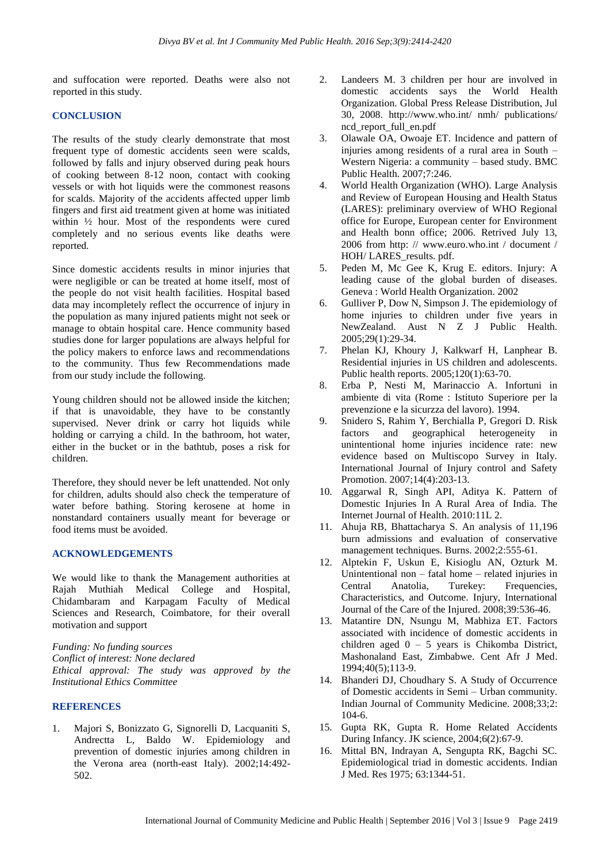and suffocation were reported. Deaths were also not reported in this study.

### **CONCLUSION**

The results of the study clearly demonstrate that most frequent type of domestic accidents seen were scalds, followed by falls and injury observed during peak hours of cooking between 8-12 noon, contact with cooking vessels or with hot liquids were the commonest reasons for scalds. Majority of the accidents affected upper limb fingers and first aid treatment given at home was initiated within ½ hour. Most of the respondents were cured completely and no serious events like deaths were reported.

Since domestic accidents results in minor injuries that were negligible or can be treated at home itself, most of the people do not visit health facilities. Hospital based data may incompletely reflect the occurrence of injury in the population as many injured patients might not seek or manage to obtain hospital care. Hence community based studies done for larger populations are always helpful for the policy makers to enforce laws and recommendations to the community. Thus few Recommendations made from our study include the following.

Young children should not be allowed inside the kitchen; if that is unavoidable, they have to be constantly supervised. Never drink or carry hot liquids while holding or carrying a child. In the bathroom, hot water, either in the bucket or in the bathtub, poses a risk for children.

Therefore, they should never be left unattended. Not only for children, adults should also check the temperature of water before bathing. Storing kerosene at home in nonstandard containers usually meant for beverage or food items must be avoided.

# **ACKNOWLEDGEMENTS**

We would like to thank the Management authorities at Rajah Muthiah Medical College and Hospital, Chidambaram and Karpagam Faculty of Medical Sciences and Research, Coimbatore, for their overall motivation and support

*Funding: No funding sources Conflict of interest: None declared Ethical approval: The study was approved by the Institutional Ethics Committee*

# **REFERENCES**

1. Majori S, Bonizzato G, Signorelli D, Lacquaniti S, Andrectta L, Baldo W. Epidemiology and prevention of domestic injuries among children in the Verona area (north-east Italy). 2002;14:492- 502.

- 2. Landeers M. 3 children per hour are involved in domestic accidents says the World Health Organization. Global Press Release Distribution, Jul 30, 2008. http://www.who.int/ nmh/ publications/ ncd\_report\_full\_en.pdf
- 3. Olawale OA, Owoaje ET. Incidence and pattern of injuries among residents of a rural area in South – Western Nigeria: a community – based study. BMC Public Health. 2007;7:246.
- 4. World Health Organization (WHO). Large Analysis and Review of European Housing and Health Status (LARES): preliminary overview of WHO Regional office for Europe, European center for Environment and Health bonn office; 2006. Retrived July 13, 2006 from http: // www.euro.who.int / document / HOH/ LARES\_results. pdf.
- 5. Peden M, Mc Gee K, Krug E. editors. Injury: A leading cause of the global burden of diseases. Geneva : World Health Organization. 2002
- 6. Gulliver P, Dow N, Simpson J. The epidemiology of home injuries to children under five years in NewZealand. Aust N Z J Public Health. 2005;29(1):29-34.
- 7. Phelan KJ, Khoury J, Kalkwarf H, Lanphear B. Residential injuries in US children and adolescents. Public health reports. 2005;120(1):63-70.
- 8. Erba P, Nesti M, Marinaccio A. Infortuni in ambiente di vita (Rome : Istituto Superiore per la prevenzione e la sicurzza del lavoro). 1994.
- 9. Snidero S, Rahim Y, Berchialla P, Gregori D. Risk factors and geographical heterogeneity in unintentional home injuries incidence rate: new evidence based on Multiscopo Survey in Italy. International Journal of Injury control and Safety Promotion. 2007;14(4):203-13.
- 10. Aggarwal R, Singh API, Aditya K. Pattern of Domestic Injuries In A Rural Area of India. The Internet Journal of Health. 2010:11L 2.
- 11. Ahuja RB, Bhattacharya S. An analysis of 11,196 burn admissions and evaluation of conservative management techniques. Burns. 2002;2:555-61.
- 12. Alptekin F, Uskun E, Kisioglu AN, Ozturk M. Unintentional non – fatal home – related injuries in Central Anatolia, Turekey: Frequencies, Characteristics, and Outcome. Injury, International Journal of the Care of the Injured. 2008;39:536-46.
- 13. Matantire DN, Nsungu M, Mabhiza ET. Factors associated with incidence of domestic accidents in children aged 0 – 5 years is Chikomba District, Mashonaland East, Zimbabwe. Cent Afr J Med. 1994;40(5);113-9.
- 14. Bhanderi DJ, Choudhary S. A Study of Occurrence of Domestic accidents in Semi – Urban community. Indian Journal of Community Medicine. 2008;33;2: 104-6.
- 15. Gupta RK, Gupta R. Home Related Accidents During Infancy. JK science, 2004;6(2):67-9.
- 16. Mittal BN, Indrayan A, Sengupta RK, Bagchi SC. Epidemiological triad in domestic accidents. Indian J Med. Res 1975; 63:1344-51.